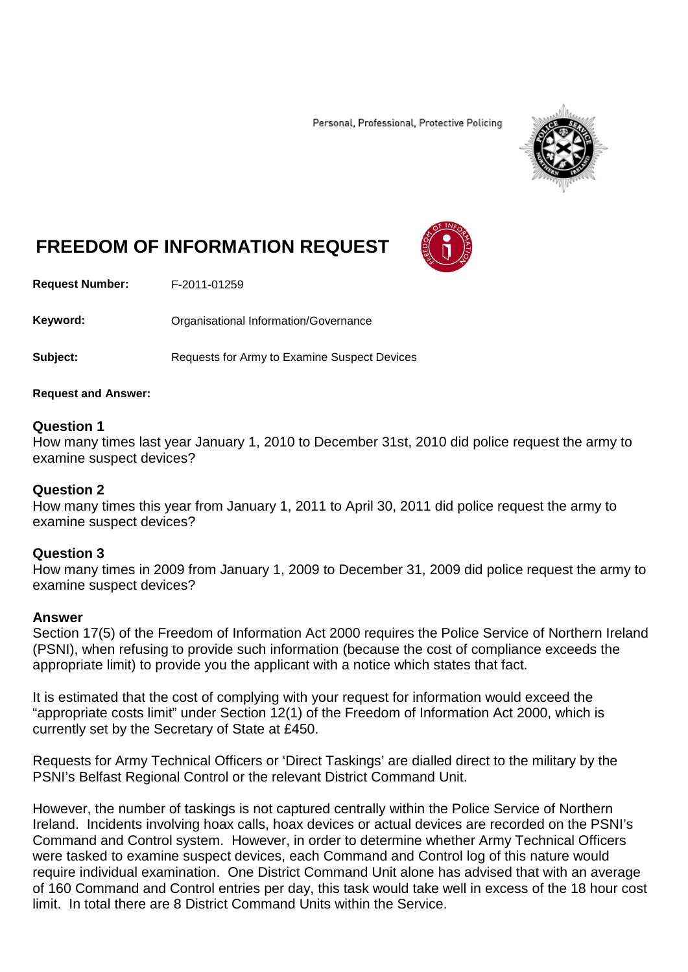Personal, Professional, Protective Policing



# **FREEDOM OF INFORMATION REQUEST**

**Request Number:** F-2011-01259

Keyword: **Communistry Communists** Organisational Information/Governance

**Subject:** Requests for Army to Examine Suspect Devices

### **Request and Answer:**

# **Question 1**

How many times last year January 1, 2010 to December 31st, 2010 did police request the army to examine suspect devices?

# **Question 2**

How many times this year from January 1, 2011 to April 30, 2011 did police request the army to examine suspect devices?

### **Question 3**

How many times in 2009 from January 1, 2009 to December 31, 2009 did police request the army to examine suspect devices?

#### **Answer**

Section 17(5) of the Freedom of Information Act 2000 requires the Police Service of Northern Ireland (PSNI), when refusing to provide such information (because the cost of compliance exceeds the appropriate limit) to provide you the applicant with a notice which states that fact.

It is estimated that the cost of complying with your request for information would exceed the "appropriate costs limit" under Section 12(1) of the Freedom of Information Act 2000, which is currently set by the Secretary of State at £450.

Requests for Army Technical Officers or 'Direct Taskings' are dialled direct to the military by the PSNI's Belfast Regional Control or the relevant District Command Unit.

However, the number of taskings is not captured centrally within the Police Service of Northern Ireland. Incidents involving hoax calls, hoax devices or actual devices are recorded on the PSNI's Command and Control system. However, in order to determine whether Army Technical Officers were tasked to examine suspect devices, each Command and Control log of this nature would require individual examination. One District Command Unit alone has advised that with an average of 160 Command and Control entries per day, this task would take well in excess of the 18 hour cost limit. In total there are 8 District Command Units within the Service.